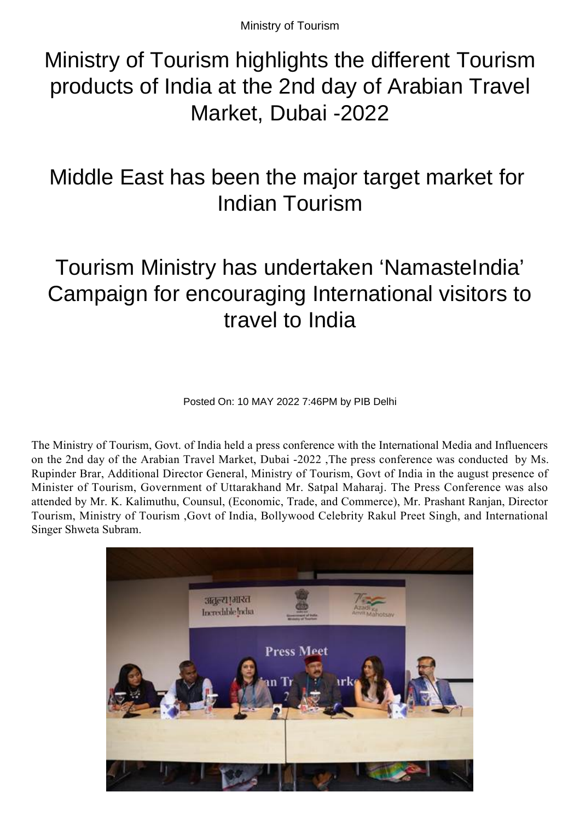Ministry of Tourism

## Ministry of Tourism highlights the different Tourism products of India at the 2nd day of Arabian Travel Market, Dubai -2022

## Middle East has been the major target market for Indian Tourism

# Tourism Ministry has undertaken 'NamasteIndia' Campaign for encouraging International visitors to travel to India

Posted On: 10 MAY 2022 7:46PM by PIB Delhi

The Ministry of Tourism, Govt. of India held a press conference with the International Media and Influencers on the 2nd day of the Arabian Travel Market, Dubai -2022 ,The press conference was conducted by Ms. Rupinder Brar, Additional Director General, Ministry of Tourism, Govt of India in the august presence of Minister of Tourism, Government of Uttarakhand Mr. Satpal Maharaj. The Press Conference was also attended by Mr. K. Kalimuthu, Counsul, (Economic, Trade, and Commerce), Mr. Prashant Ranjan, Director Tourism, Ministry of Tourism ,Govt of India, Bollywood Celebrity Rakul Preet Singh, and International Singer Shweta Subram.

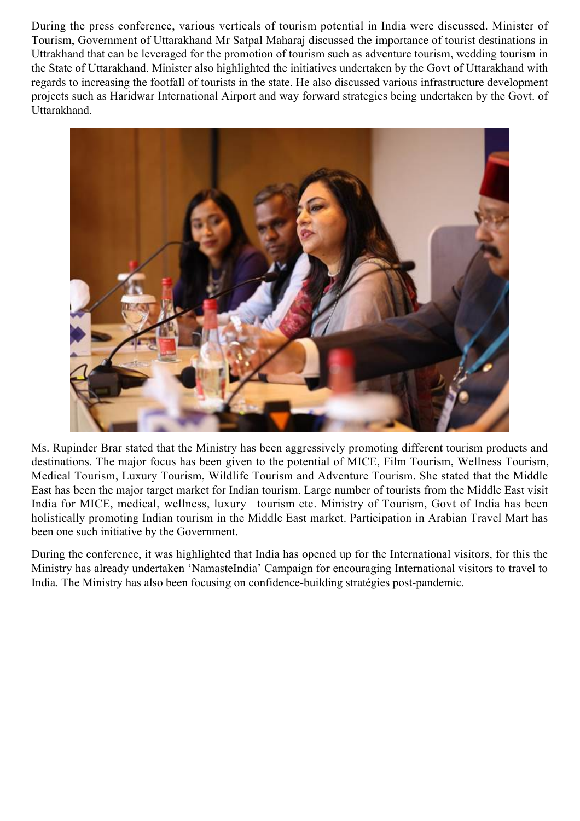During the press conference, various verticals of tourism potential in India were discussed. Minister of Tourism, Government of Uttarakhand Mr Satpal Maharaj discussed the importance of tourist destinations in Uttrakhand that can be leveraged for the promotion of tourism such as adventure tourism, wedding tourism in the State of Uttarakhand. Minister also highlighted the initiatives undertaken by the Govt of Uttarakhand with regards to increasing the footfall of tourists in the state. He also discussed various infrastructure development projects such as Haridwar International Airport and way forward strategies being undertaken by the Govt. of Uttarakhand.



Ms. Rupinder Brar stated that the Ministry has been aggressively promoting different tourism products and destinations. The major focus has been given to the potential of MICE, Film Tourism, Wellness Tourism, Medical Tourism, Luxury Tourism, Wildlife Tourism and Adventure Tourism. She stated that the Middle East has been the major target market for Indian tourism. Large number of tourists from the Middle East visit India for MICE, medical, wellness, luxury tourism etc. Ministry of Tourism, Govt of India has been holistically promoting Indian tourism in the Middle East market. Participation in Arabian Travel Mart has been one such initiative by the Government.

During the conference, it was highlighted that India has opened up for the International visitors, for this the Ministry has already undertaken 'NamasteIndia' Campaign for encouraging International visitors to travel to India. The Ministry has also been focusing on confidence-building stratégies post-pandemic.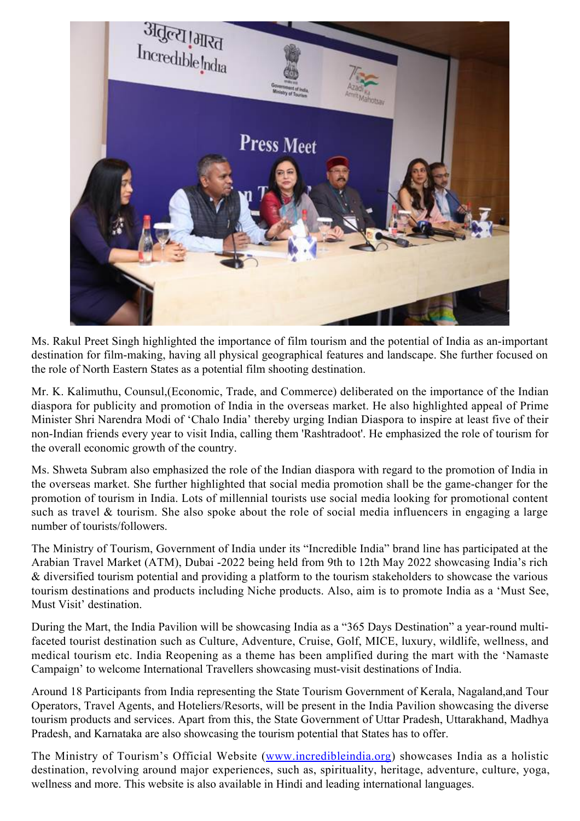

Ms. Rakul Preet Singh highlighted the importance of film tourism and the potential of India as an-important destination for film-making, having all physical geographical features and landscape. She further focused on the role of North Eastern States as a potential film shooting destination.

Mr. K. Kalimuthu, Counsul,(Economic, Trade, and Commerce) deliberated on the importance of the Indian diaspora for publicity and promotion of India in the overseas market. He also highlighted appeal of Prime Minister Shri Narendra Modi of 'Chalo India' thereby urging Indian Diaspora to inspire at least five of their non-Indian friends every year to visit India, calling them 'Rashtradoot'. He emphasized the role of tourism for the overall economic growth of the country.

Ms. Shweta Subram also emphasized the role of the Indian diaspora with regard to the promotion of India in the overseas market. She further highlighted that social media promotion shall be the game-changer for the promotion of tourism in India. Lots of millennial tourists use social media looking for promotional content such as travel & tourism. She also spoke about the role of social media influencers in engaging a large number of tourists/followers.

The Ministry of Tourism, Government of India under its "Incredible India" brand line has participated at the Arabian Travel Market (ATM), Dubai -2022 being held from 9th to 12th May 2022 showcasing India's rich & diversified tourism potential and providing a platform to the tourism stakeholders to showcase the various tourism destinations and products including Niche products. Also, aim is to promote India as a 'Must See, Must Visit' destination.

During the Mart, the India Pavilion will be showcasing India as a "365 Days Destination" a year-round multifaceted tourist destination such as Culture, Adventure, Cruise, Golf, MICE, luxury, wildlife, wellness, and medical tourism etc. India Reopening as a theme has been amplified during the mart with the 'Namaste Campaign' to welcome International Travellers showcasing must-visit destinations of India.

Around 18 Participants from India representing the State Tourism Government of Kerala, Nagaland,and Tour Operators, Travel Agents, and Hoteliers/Resorts, will be present in the India Pavilion showcasing the diverse tourism products and services. Apart from this, the State Government of Uttar Pradesh, Uttarakhand, Madhya Pradesh, and Karnataka are also showcasing the tourism potential that States has to offer.

The Ministry of Tourism's Official Website ([www.incredibleindia.org](http://www.incredibleindia.org)) showcases India as a holistic destination, revolving around major experiences, such as, spirituality, heritage, adventure, culture, yoga, wellness and more. This website is also available in Hindi and leading international languages.